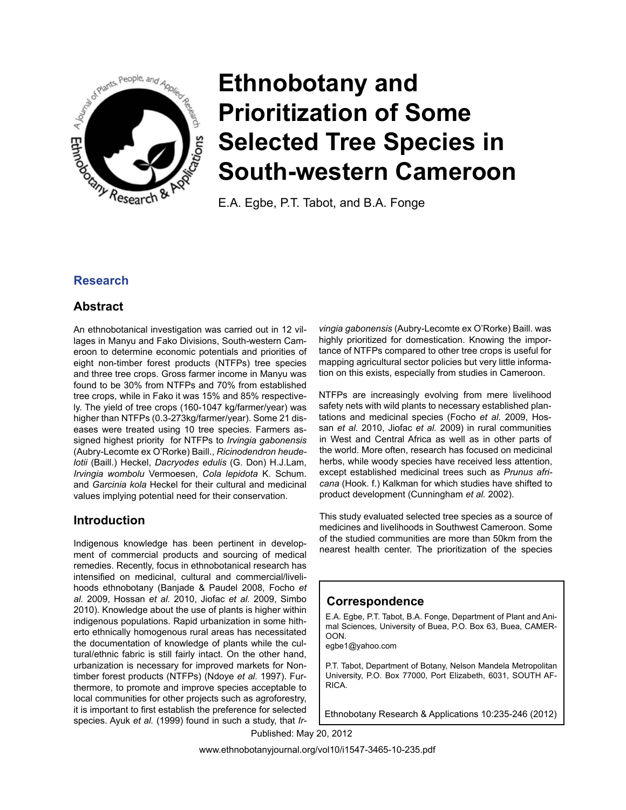

# **Ethnobotany and Prioritization of Some Selected Tree Species in South-western Cameroon**

E.A. Egbe, P.T. Tabot, and B.A. Fonge

# **Research**

# **Abstract**

An ethnobotanical investigation was carried out in 12 villages in Manyu and Fako Divisions, South-western Cameroon to determine economic potentials and priorities of eight non-timber forest products (NTFPs) tree species and three tree crops. Gross farmer income in Manyu was found to be 30% from NTFPs and 70% from established tree crops, while in Fako it was 15% and 85% respectively. The yield of tree crops (160-1047 kg/farmer/year) was higher than NTFPs (0.3-273kg/farmer/year). Some 21 diseases were treated using 10 tree species. Farmers assigned highest priority for NTFPs to *Irvingia gabonensis*  (Aubry-Lecomte ex O'Rorke) Baill., *Ricinodendron heudelotii* (Baill.) Heckel, *Dacryodes edulis* (G. Don) H.J.Lam, *Irvingia wombolu* Vermoesen, *Cola lepidota* K. Schum. and *Garcinia kola* Heckel for their cultural and medicinal values implying potential need for their conservation.

# **Introduction**

Indigenous knowledge has been pertinent in development of commercial products and sourcing of medical remedies. Recently, focus in ethnobotanical research has intensified on medicinal, cultural and commercial/livelihoods ethnobotany (Banjade & Paudel 2008, Focho *et al.* 2009, Hossan *et al.* 2010, Jiofac *et al.* 2009, Simbo 2010). Knowledge about the use of plants is higher within indigenous populations. Rapid urbanization in some hitherto ethnically homogenous rural areas has necessitated the documentation of knowledge of plants while the cultural/ethnic fabric is still fairly intact. On the other hand, urbanization is necessary for improved markets for Nontimber forest products (NTFPs) (Ndoye *et al.* 1997). Furthermore, to promote and improve species acceptable to local communities for other projects such as agroforestry, it is important to first establish the preference for selected species. Ayuk *et al.* (1999) found in such a study, that *Ir-*

*vingia gabonensis* (Aubry-Lecomte ex O'Rorke) Baill. was highly prioritized for domestication. Knowing the importance of NTFPs compared to other tree crops is useful for mapping agricultural sector policies but very little information on this exists, especially from studies in Cameroon.

NTFPs are increasingly evolving from mere livelihood safety nets with wild plants to necessary established plantations and medicinal species (Focho *et al.* 2009, Hossan *et al.* 2010, Jiofac *et al.* 2009) in rural communities in West and Central Africa as well as in other parts of the world. More often, research has focused on medicinal herbs, while woody species have received less attention, except established medicinal trees such as *Prunus africana* (Hook. f.) Kalkman for which studies have shifted to product development (Cunningham *et al.* 2002).

This study evaluated selected tree species as a source of medicines and livelihoods in Southwest Cameroon. Some of the studied communities are more than 50km from the nearest health center. The prioritization of the species

# **Correspondence**

E.A. Egbe, P.T. Tabot, B.A. Fonge, Department of Plant and Animal Sciences, University of Buea, P.O. Box 63, Buea, CAMER-OON.

egbe1@yahoo.com

P.T. Tabot, Department of Botany, Nelson Mandela Metropolitan University, P.O. Box 77000, Port Elizabeth, 6031, SOUTH AF-RICA.

Ethnobotany Research & Applications 10:235-246 (2012)

Published: May 20, 2012

www.ethnobotanyjournal.org/vol10/i1547-3465-10-235.pdf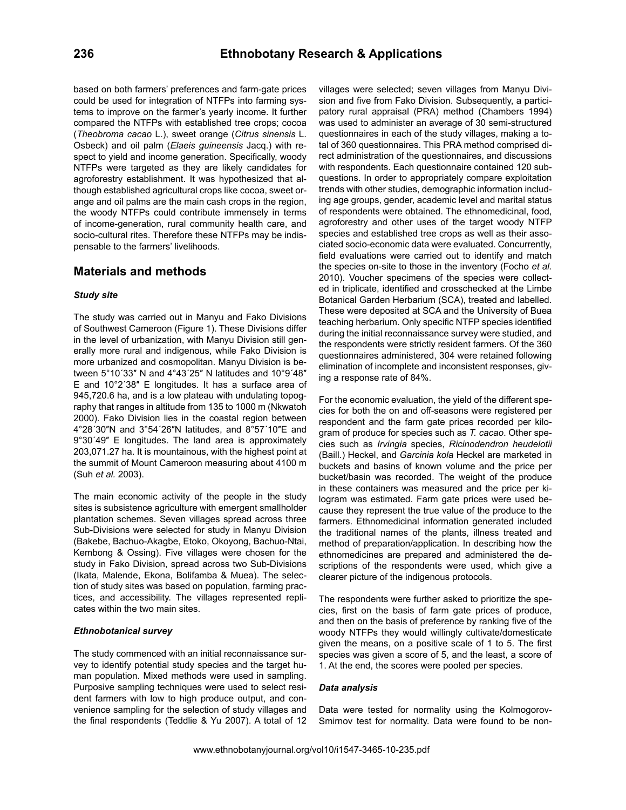based on both farmers' preferences and farm-gate prices could be used for integration of NTFPs into farming systems to improve on the farmer's yearly income. It further compared the NTFPs with established tree crops; cocoa (*Theobroma cacao* L.), sweet orange (*Citrus sinensis* L. Osbeck) and oil palm (*Elaeis guineensis* Jacq.) with respect to yield and income generation. Specifically, woody NTFPs were targeted as they are likely candidates for agroforestry establishment. It was hypothesized that although established agricultural crops like cocoa, sweet orange and oil palms are the main cash crops in the region, the woody NTFPs could contribute immensely in terms of income-generation, rural community health care, and socio-cultural rites. Therefore these NTFPs may be indispensable to the farmers' livelihoods.

## **Materials and methods**

#### *Study site*

The study was carried out in Manyu and Fako Divisions of Southwest Cameroon (Figure 1). These Divisions differ in the level of urbanization, with Manyu Division still generally more rural and indigenous, while Fako Division is more urbanized and cosmopolitan. Manyu Division is between 5°10´33″ N and 4°43´25″ N latitudes and 10°9´48″ E and 10°2´38″ E longitudes. It has a surface area of 945,720.6 ha, and is a low plateau with undulating topography that ranges in altitude from 135 to 1000 m (Nkwatoh 2000). Fako Division lies in the coastal region between 4°28´30″N and 3°54´26″N latitudes, and 8°57´10″E and 9°30´49″ E longitudes. The land area is approximately 203,071.27 ha. It is mountainous, with the highest point at the summit of Mount Cameroon measuring about 4100 m (Suh *et al.* 2003).

The main economic activity of the people in the study sites is subsistence agriculture with emergent smallholder plantation schemes. Seven villages spread across three Sub-Divisions were selected for study in Manyu Division (Bakebe, Bachuo-Akagbe, Etoko, Okoyong, Bachuo-Ntai, Kembong & Ossing). Five villages were chosen for the study in Fako Division, spread across two Sub-Divisions (Ikata, Malende, Ekona, Bolifamba & Muea). The selection of study sites was based on population, farming practices, and accessibility. The villages represented replicates within the two main sites.

#### *Ethnobotanical survey*

The study commenced with an initial reconnaissance survey to identify potential study species and the target human population. Mixed methods were used in sampling. Purposive sampling techniques were used to select resident farmers with low to high produce output, and convenience sampling for the selection of study villages and the final respondents (Teddlie & Yu 2007). A total of 12

villages were selected; seven villages from Manyu Division and five from Fako Division. Subsequently, a participatory rural appraisal (PRA) method (Chambers 1994) was used to administer an average of 30 semi-structured questionnaires in each of the study villages, making a total of 360 questionnaires. This PRA method comprised direct administration of the questionnaires, and discussions with respondents. Each questionnaire contained 120 subquestions. In order to appropriately compare exploitation trends with other studies, demographic information including age groups, gender, academic level and marital status of respondents were obtained. The ethnomedicinal, food, agroforestry and other uses of the target woody NTFP species and established tree crops as well as their associated socio-economic data were evaluated. Concurrently, field evaluations were carried out to identify and match the species on-site to those in the inventory (Focho *et al.* 2010). Voucher specimens of the species were collected in triplicate, identified and crosschecked at the Limbe Botanical Garden Herbarium (SCA), treated and labelled. These were deposited at SCA and the University of Buea teaching herbarium. Only specific NTFP species identified during the initial reconnaissance survey were studied, and the respondents were strictly resident farmers. Of the 360 questionnaires administered, 304 were retained following elimination of incomplete and inconsistent responses, giving a response rate of 84%.

For the economic evaluation, the yield of the different species for both the on and off-seasons were registered per respondent and the farm gate prices recorded per kilogram of produce for species such as *T. cacao*. Other species such as *Irvingia* species, *Ricinodendron heudelotii* (Baill.) Heckel, and *Garcinia kola* Heckel are marketed in buckets and basins of known volume and the price per bucket/basin was recorded. The weight of the produce in these containers was measured and the price per kilogram was estimated. Farm gate prices were used because they represent the true value of the produce to the farmers. Ethnomedicinal information generated included the traditional names of the plants, illness treated and method of preparation/application. In describing how the ethnomedicines are prepared and administered the descriptions of the respondents were used, which give a clearer picture of the indigenous protocols.

The respondents were further asked to prioritize the species, first on the basis of farm gate prices of produce, and then on the basis of preference by ranking five of the woody NTFPs they would willingly cultivate/domesticate given the means, on a positive scale of 1 to 5. The first species was given a score of 5, and the least, a score of 1. At the end, the scores were pooled per species.

#### *Data analysis*

Data were tested for normality using the Kolmogorov-Smirnov test for normality. Data were found to be non-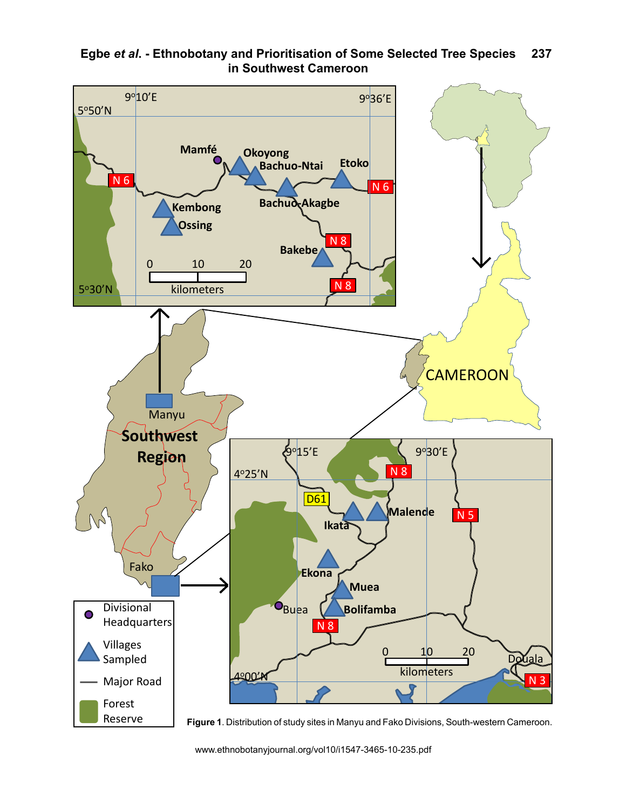

#### **Egbe** *et al***. - Ethnobotany and Prioritisation of Some Selected Tree Species**  1d **in Southwest Cameroon 237**

www.ethnobotanyjournal.org/vol10/i1547-3465-10-235.pdf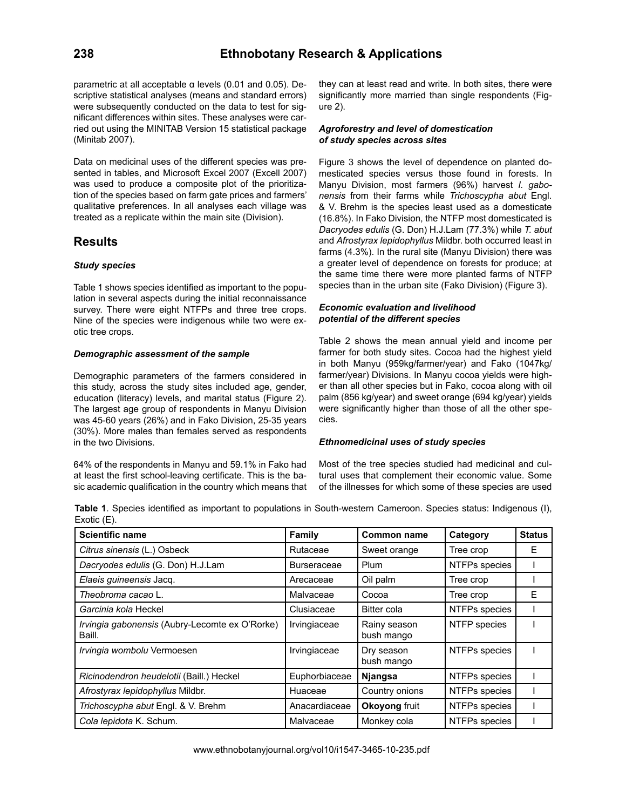parametric at all acceptable α levels (0.01 and 0.05). Descriptive statistical analyses (means and standard errors) were subsequently conducted on the data to test for significant differences within sites. These analyses were carried out using the MINITAB Version 15 statistical package (Minitab 2007).

Data on medicinal uses of the different species was presented in tables, and Microsoft Excel 2007 (Excell 2007) was used to produce a composite plot of the prioritization of the species based on farm gate prices and farmers' qualitative preferences. In all analyses each village was treated as a replicate within the main site (Division).

## **Results**

## *Study species*

Table 1 shows species identified as important to the population in several aspects during the initial reconnaissance survey. There were eight NTFPs and three tree crops. Nine of the species were indigenous while two were exotic tree crops.

## *Demographic assessment of the sample*

Demographic parameters of the farmers considered in this study, across the study sites included age, gender, education (literacy) levels, and marital status (Figure 2). The largest age group of respondents in Manyu Division was 45-60 years (26%) and in Fako Division, 25-35 years (30%). More males than females served as respondents in the two Divisions.

64% of the respondents in Manyu and 59.1% in Fako had at least the first school-leaving certificate. This is the basic academic qualification in the country which means that they can at least read and write. In both sites, there were significantly more married than single respondents (Figure 2).

#### *Agroforestry and level of domestication of study species across sites*

Figure 3 shows the level of dependence on planted domesticated species versus those found in forests. In Manyu Division, most farmers (96%) harvest *I. gabonensis* from their farms while *Trichoscypha abut* Engl. & V. Brehm is the species least used as a domesticate (16.8%). In Fako Division, the NTFP most domesticated is *Dacryodes edulis* (G. Don) H.J.Lam (77.3%) while *T. abut* and *Afrostyrax lepidophyllus* Mildbr. both occurred least in farms (4.3%). In the rural site (Manyu Division) there was a greater level of dependence on forests for produce; at the same time there were more planted farms of NTFP species than in the urban site (Fako Division) (Figure 3).

## *Economic evaluation and livelihood potential of the different species*

Table 2 shows the mean annual yield and income per farmer for both study sites. Cocoa had the highest yield in both Manyu (959kg/farmer/year) and Fako (1047kg/ farmer/year) Divisions. In Manyu cocoa yields were higher than all other species but in Fako, cocoa along with oil palm (856 kg/year) and sweet orange (694 kg/year) yields were significantly higher than those of all the other species.

## *Ethnomedicinal uses of study species*

Most of the tree species studied had medicinal and cultural uses that complement their economic value. Some of the illnesses for which some of these species are used

**Table 1**. Species identified as important to populations in South-western Cameroon. Species status: Indigenous (I), Exotic (E).

| <b>Scientific name</b>                                   | <b>Family</b>      | <b>Common name</b>         | Category      | <b>Status</b> |  |
|----------------------------------------------------------|--------------------|----------------------------|---------------|---------------|--|
| Citrus sinensis (L.) Osbeck                              | Rutaceae           | Sweet orange               | Tree crop     | Е             |  |
| Dacryodes edulis (G. Don) H.J.Lam                        | <b>Burseraceae</b> | Plum                       | NTFPs species |               |  |
| Elaeis guineensis Jacq.                                  | Arecaceae          | Oil palm                   | Tree crop     |               |  |
| Theobroma cacao L.                                       | Malvaceae          | Cocoa                      | Tree crop     | E             |  |
| Garcinia kola Heckel                                     | Clusiaceae         | Bitter cola                | NTFPs species |               |  |
| Irvingia gabonensis (Aubry-Lecomte ex O'Rorke)<br>Baill. | Irvingiaceae       | Rainy season<br>bush mango | NTFP species  |               |  |
| Irvingia wombolu Vermoesen                               | Irvingiaceae       | Dry season<br>bush mango   | NTFPs species |               |  |
| Ricinodendron heudelotii (Baill.) Heckel                 | Euphorbiaceae      | <b>Njangsa</b>             | NTFPs species |               |  |
| Afrostyrax lepidophyllus Mildbr.                         | Huaceae            | Country onions             | NTFPs species |               |  |
| Trichoscypha abut Engl. & V. Brehm                       | Anacardiaceae      | Okoyong fruit              | NTFPs species |               |  |
| Cola lepidota K. Schum.                                  | Malvaceae          | Monkey cola                | NTFPs species |               |  |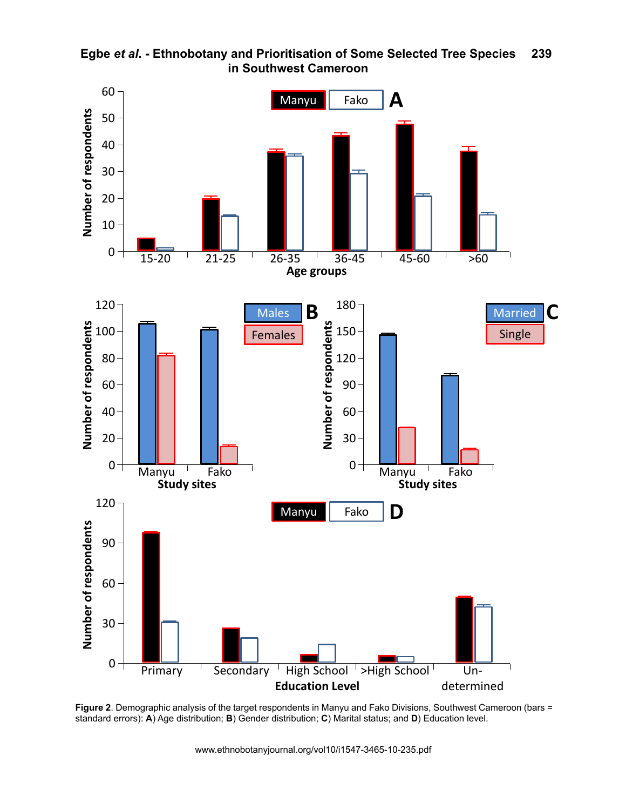

**Egbe** *et al***. - Ethnobotany and Prioritisation of Some Selected Tree Species in Southwest Cameroon 239**

**Figure 2**. Demographic analysis of the target respondents in Manyu and Fako Divisions, Southwest Cameroon (bars =<br>atandard arrara): A) Ase distribution: **P**) Candar distribution: C) Marital atatua: and **D**) Education lave standard errors): **A**) Age distribution; **B**) Gender distribution; **C**) Marital status; and **D**) Education level.

www.ethnobotanyjournal.org/vol10/i1547-3465-10-235.pdf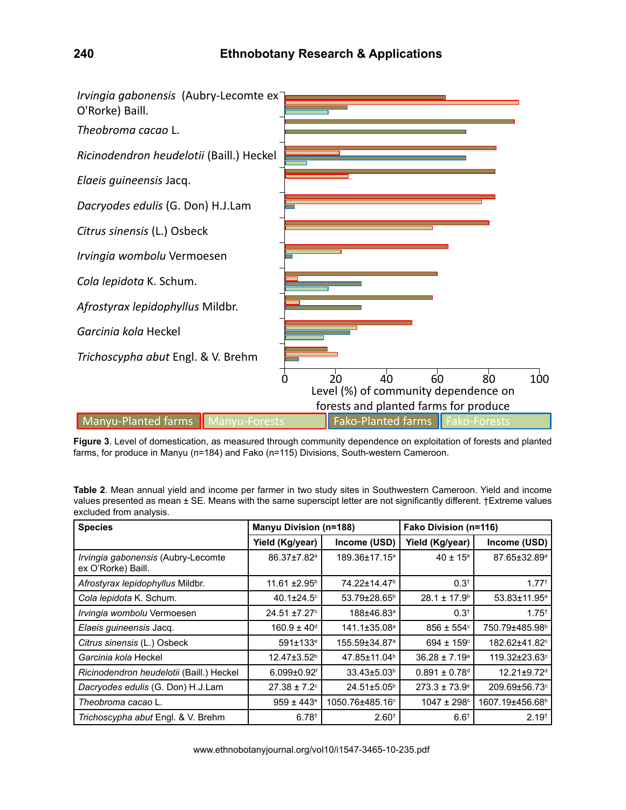

**Figure 3**. Level of domestication, as measured through community dependence on exploitation of forests and planted farms, for produce in Manyu (n=184) and Fako (n=115) Divisions, South-western Cameroon.

**Table 2**. Mean annual yield and income per farmer in two study sites in Southwestern Cameroon. Yield and income values presented as mean ± SE. Means with the same superscipt letter are not significantly different. †Extreme values excluded from analysis.

| <b>Species</b>                                           | <b>Manyu Division (n=188)</b> |                           | Fako Division (n=116)         |                               |  |
|----------------------------------------------------------|-------------------------------|---------------------------|-------------------------------|-------------------------------|--|
|                                                          | Yield (Kg/year)               | Income (USD)              | Yield (Kg/year)               | Income (USD)                  |  |
| Irvingia gabonensis (Aubry-Lecomte<br>ex O'Rorke) Baill. | 86.37±7.82 <sup>a</sup>       | 189.36±17.15 <sup>a</sup> | $40 \pm 15^a$                 | 87.65±32.89ª                  |  |
| Afrostyrax lepidophyllus Mildbr.                         | $11.61 \pm 2.95^{\circ}$      | 74.22±14.47 <sup>b</sup>  | $0.3^+$                       | $1.77^{+}$                    |  |
| Cola lepidota K. Schum.                                  | 40.1 $\pm$ 24.5 $\degree$     | 53.79±28.65 <sup>b</sup>  | $28.1 \pm 17.9^{\circ}$       | 53.83±11.95 <sup>a</sup>      |  |
| Irvingia wombolu Vermoesen                               | $24.51 \pm 7.27$ °            | 188±46.83ª                | $0.3^{\dagger}$               | $1.75^{+}$                    |  |
| Elaeis quineensis Jacq.                                  | $160.9 \pm 40^{\circ}$        | 141.1±35.08 <sup>a</sup>  | $856 \pm 554$ °               | 750.79±485.98 <sup>b</sup>    |  |
| Citrus sinensis (L.) Osbeck                              | $591 \pm 133$ <sup>e</sup>    | 155.59±34.87 <sup>a</sup> | $694 \pm 159$ <sup>c</sup>    | 182.62±41.82 <sup>c</sup>     |  |
| Garcinia kola Heckel                                     | $12.47 \pm 3.52$ <sup>b</sup> | 47.85±11.04 <sup>b</sup>  | $36.28 \pm 7.19^a$            | 119.32±23.63 <sup>c</sup>     |  |
| Ricinodendron heudelotii (Baill.) Heckel                 | $6.099 \pm 0.92$ <sup>f</sup> | 33.43±5.03 <sup>b</sup>   | $0.891 \pm 0.78$ <sup>d</sup> | $12.21 \pm 9.72$ <sup>d</sup> |  |
| Dacryodes edulis (G. Don) H.J.Lam                        | $27.38 \pm 7.2$ °             | $24.51 \pm 5.05^{\circ}$  | $273.3 \pm 73.9^{\circ}$      | 209.69±56.73°                 |  |
| Theobroma cacao L.                                       | $959 \pm 443$ <sup>e</sup>    | 1050.76±485.16°           | $1047 \pm 298$ <sup>c</sup>   | 1607.19±456.68 <sup>b</sup>   |  |
| Trichoscypha abut Engl. & V. Brehm                       | $6.78$ <sup>t</sup>           | $2.60^{+}$                | $6.6^{\dagger}$               | $2.19^{+}$                    |  |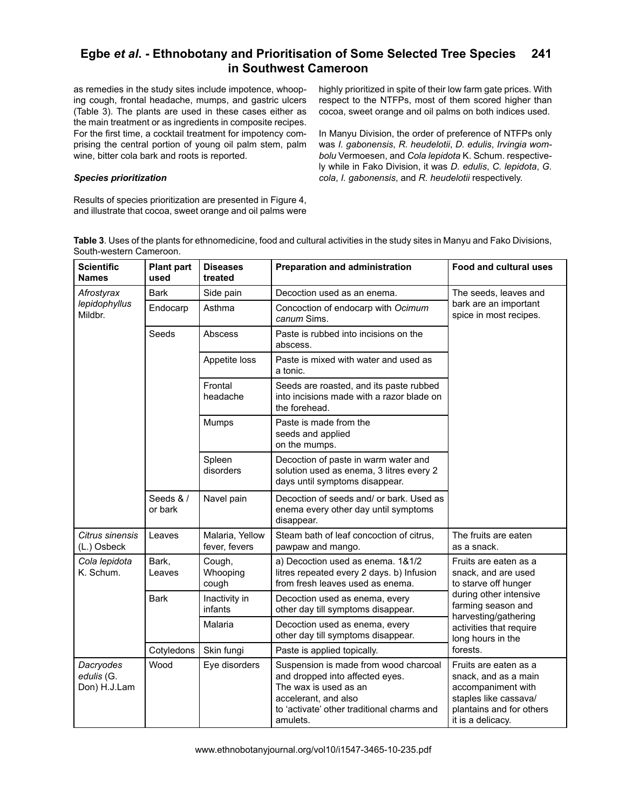#### **Egbe** *et al***. - Ethnobotany and Prioritisation of Some Selected Tree Species in Southwest Cameroon 241**

as remedies in the study sites include impotence, whooping cough, frontal headache, mumps, and gastric ulcers (Table 3). The plants are used in these cases either as the main treatment or as ingredients in composite recipes. For the first time, a cocktail treatment for impotency comprising the central portion of young oil palm stem, palm wine, bitter cola bark and roots is reported.

### *Species prioritization*

Results of species prioritization are presented in Figure 4, and illustrate that cocoa, sweet orange and oil palms were highly prioritized in spite of their low farm gate prices. With respect to the NTFPs, most of them scored higher than cocoa, sweet orange and oil palms on both indices used.

In Manyu Division, the order of preference of NTFPs only was *I. gabonensis*, *R. heudelotii*, *D. edulis*, *Irvingia wombolu* Vermoesen, and *Cola lepidota* K. Schum. respectively while in Fako Division, it was *D. edulis*, *C. lepidota*, *G. cola*, *I. gabonensis*, and *R. heudelotii* respectively.

**Table 3**. Uses of the plants for ethnomedicine, food and cultural activities in the study sites in Manyu and Fako Divisions, South-western Cameroon.

| <b>Scientific</b><br><b>Names</b>       | <b>Plant part</b><br>used                                                                                                            | <b>Diseases</b><br>treated                                  | <b>Preparation and administration</b>                                                                                                                                               | <b>Food and cultural uses</b>                                                                                                                 |  |
|-----------------------------------------|--------------------------------------------------------------------------------------------------------------------------------------|-------------------------------------------------------------|-------------------------------------------------------------------------------------------------------------------------------------------------------------------------------------|-----------------------------------------------------------------------------------------------------------------------------------------------|--|
| Afrostyrax<br>lepidophyllus<br>Mildbr.  | <b>Bark</b>                                                                                                                          | Side pain                                                   | Decoction used as an enema.                                                                                                                                                         | The seeds, leaves and                                                                                                                         |  |
|                                         | Endocarp                                                                                                                             | Asthma<br>Concoction of endocarp with Ocimum<br>canum Sims. |                                                                                                                                                                                     | bark are an important<br>spice in most recipes.                                                                                               |  |
|                                         | Seeds                                                                                                                                | Abscess                                                     | Paste is rubbed into incisions on the<br>abscess.                                                                                                                                   |                                                                                                                                               |  |
|                                         |                                                                                                                                      | Appetite loss                                               | Paste is mixed with water and used as<br>a tonic.                                                                                                                                   |                                                                                                                                               |  |
|                                         |                                                                                                                                      | Frontal<br>headache                                         | Seeds are roasted, and its paste rubbed<br>into incisions made with a razor blade on<br>the forehead.                                                                               |                                                                                                                                               |  |
|                                         |                                                                                                                                      | Mumps                                                       | Paste is made from the<br>seeds and applied<br>on the mumps.                                                                                                                        |                                                                                                                                               |  |
|                                         |                                                                                                                                      | Spleen<br>disorders                                         | Decoction of paste in warm water and<br>solution used as enema, 3 litres every 2<br>days until symptoms disappear.                                                                  |                                                                                                                                               |  |
|                                         | Seeds & /<br>Decoction of seeds and/ or bark. Used as<br>Navel pain<br>enema every other day until symptoms<br>or bark<br>disappear. |                                                             |                                                                                                                                                                                     |                                                                                                                                               |  |
| Citrus sinensis<br>(L.) Osbeck          | Leaves                                                                                                                               | Malaria, Yellow<br>fever, fevers                            | Steam bath of leaf concoction of citrus,<br>pawpaw and mango.                                                                                                                       | The fruits are eaten<br>as a snack.                                                                                                           |  |
| Cola lepidota<br>K. Schum.              | Bark,<br>Leaves                                                                                                                      | Cough,<br>Whooping<br>cough                                 | a) Decoction used as enema. 1&1/2<br>litres repeated every 2 days. b) Infusion<br>from fresh leaves used as enema.                                                                  | Fruits are eaten as a<br>snack, and are used<br>to starve off hunger                                                                          |  |
|                                         | <b>Bark</b>                                                                                                                          | Inactivity in<br>infants                                    | Decoction used as enema, every<br>other day till symptoms disappear.                                                                                                                | during other intensive<br>farming season and                                                                                                  |  |
|                                         |                                                                                                                                      | Malaria                                                     | Decoction used as enema, every<br>other day till symptoms disappear.                                                                                                                | harvesting/gathering<br>activities that require<br>long hours in the<br>forests.                                                              |  |
|                                         | Cotyledons                                                                                                                           | Skin fungi                                                  | Paste is applied topically.                                                                                                                                                         |                                                                                                                                               |  |
| Dacryodes<br>edulis (G.<br>Don) H.J.Lam | Wood                                                                                                                                 | Eye disorders                                               | Suspension is made from wood charcoal<br>and dropped into affected eyes.<br>The wax is used as an<br>accelerant, and also<br>to 'activate' other traditional charms and<br>amulets. | Fruits are eaten as a<br>snack, and as a main<br>accompaniment with<br>staples like cassava/<br>plantains and for others<br>it is a delicacy. |  |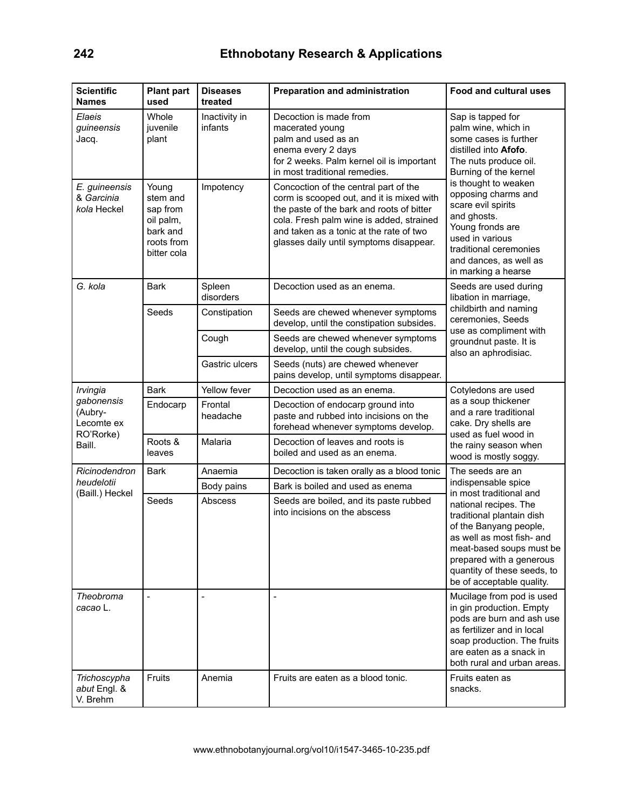| <b>Scientific</b><br><b>Names</b>                                      | <b>Plant part</b><br>used                                                           | <b>Diseases</b><br>treated | <b>Preparation and administration</b>                                                                                                                                                                                                                             | Food and cultural uses                                                                                                                                                                                                                                                                                                                             |  |
|------------------------------------------------------------------------|-------------------------------------------------------------------------------------|----------------------------|-------------------------------------------------------------------------------------------------------------------------------------------------------------------------------------------------------------------------------------------------------------------|----------------------------------------------------------------------------------------------------------------------------------------------------------------------------------------------------------------------------------------------------------------------------------------------------------------------------------------------------|--|
| Elaeis<br>guineensis<br>Jacq.                                          | Whole<br>juvenile<br>plant                                                          | Inactivity in<br>infants   | Decoction is made from<br>macerated young<br>palm and used as an<br>enema every 2 days<br>for 2 weeks. Palm kernel oil is important<br>in most traditional remedies.                                                                                              | Sap is tapped for<br>palm wine, which in<br>some cases is further<br>distilled into Afofo.<br>The nuts produce oil.<br>Burning of the kernel<br>is thought to weaken<br>opposing charms and<br>scare evil spirits<br>and ghosts.<br>Young fronds are<br>used in various<br>traditional ceremonies<br>and dances, as well as<br>in marking a hearse |  |
| E. guineensis<br>& Garcinia<br>kola Heckel                             | Young<br>stem and<br>sap from<br>oil palm,<br>bark and<br>roots from<br>bitter cola | Impotency                  | Concoction of the central part of the<br>corm is scooped out, and it is mixed with<br>the paste of the bark and roots of bitter<br>cola. Fresh palm wine is added, strained<br>and taken as a tonic at the rate of two<br>glasses daily until symptoms disappear. |                                                                                                                                                                                                                                                                                                                                                    |  |
| G. kola                                                                | <b>Bark</b>                                                                         | Spleen<br>disorders        | Decoction used as an enema.                                                                                                                                                                                                                                       | Seeds are used during<br>libation in marriage,                                                                                                                                                                                                                                                                                                     |  |
|                                                                        | Seeds                                                                               | Constipation               | Seeds are chewed whenever symptoms<br>develop, until the constipation subsides.                                                                                                                                                                                   | childbirth and naming<br>ceremonies, Seeds<br>use as compliment with                                                                                                                                                                                                                                                                               |  |
|                                                                        |                                                                                     | Cough                      | Seeds are chewed whenever symptoms<br>develop, until the cough subsides.                                                                                                                                                                                          | groundnut paste. It is<br>also an aphrodisiac.                                                                                                                                                                                                                                                                                                     |  |
|                                                                        |                                                                                     | Gastric ulcers             | Seeds (nuts) are chewed whenever<br>pains develop, until symptoms disappear.                                                                                                                                                                                      |                                                                                                                                                                                                                                                                                                                                                    |  |
| Irvingia<br>gabonensis<br>(Aubry-<br>Lecomte ex<br>RO'Rorke)<br>Baill. | <b>Bark</b>                                                                         | Yellow fever               | Decoction used as an enema.                                                                                                                                                                                                                                       | Cotyledons are used                                                                                                                                                                                                                                                                                                                                |  |
|                                                                        | Endocarp                                                                            | Frontal<br>headache        | Decoction of endocarp ground into<br>paste and rubbed into incisions on the<br>forehead whenever symptoms develop.                                                                                                                                                | as a soup thickener<br>and a rare traditional<br>cake. Dry shells are<br>used as fuel wood in                                                                                                                                                                                                                                                      |  |
|                                                                        | Roots &<br>leaves                                                                   | Malaria                    | Decoction of leaves and roots is<br>boiled and used as an enema.                                                                                                                                                                                                  | the rainy season when<br>wood is mostly soggy.                                                                                                                                                                                                                                                                                                     |  |
| Ricinodendron                                                          | <b>Bark</b>                                                                         | Anaemia                    | Decoction is taken orally as a blood tonic                                                                                                                                                                                                                        | The seeds are an                                                                                                                                                                                                                                                                                                                                   |  |
| heudelotii<br>(Baill.) Heckel                                          |                                                                                     | Body pains                 | Bark is boiled and used as enema                                                                                                                                                                                                                                  | indispensable spice<br>in most traditional and                                                                                                                                                                                                                                                                                                     |  |
|                                                                        | Seeds                                                                               | Abscess                    | Seeds are boiled, and its paste rubbed<br>into incisions on the abscess                                                                                                                                                                                           | national recipes. The<br>traditional plantain dish<br>of the Banyang people,<br>as well as most fish- and<br>meat-based soups must be<br>prepared with a generous<br>quantity of these seeds, to<br>be of acceptable quality.                                                                                                                      |  |
| Theobroma<br>cacao L.                                                  | $\overline{a}$                                                                      |                            |                                                                                                                                                                                                                                                                   | Mucilage from pod is used<br>in gin production. Empty<br>pods are burn and ash use<br>as fertilizer and in local<br>soap production. The fruits<br>are eaten as a snack in<br>both rural and urban areas.                                                                                                                                          |  |
| Trichoscypha<br>abut Engl. &<br>V. Brehm                               | Fruits                                                                              | Anemia                     | Fruits are eaten as a blood tonic.                                                                                                                                                                                                                                | Fruits eaten as<br>snacks.                                                                                                                                                                                                                                                                                                                         |  |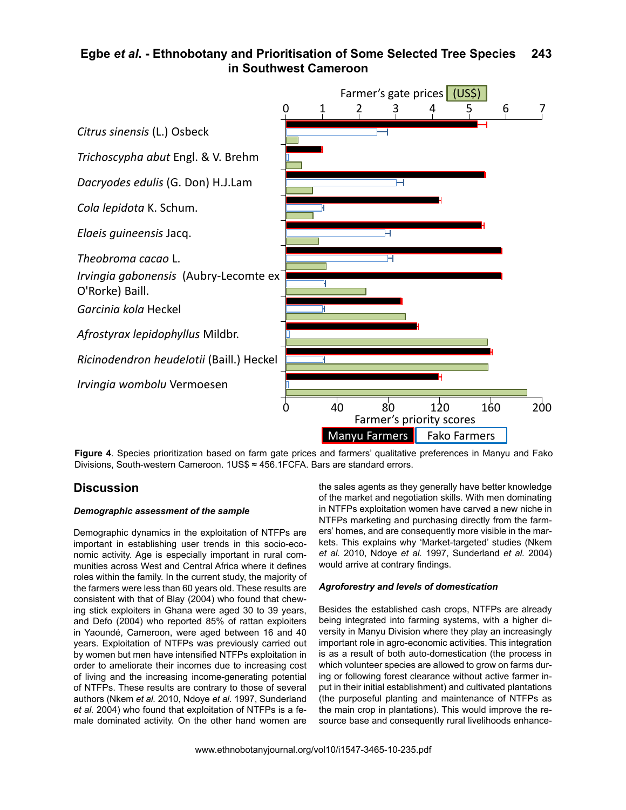#### **Egbe** *et al***. - Ethnobotany and Prioritisation of Some Selected Tree Species in Southwest Cameroon 243**



**Figure 4**. Species prioritization based on farm gate prices and farmers' qualitative preferences in Manyu and Fako Divisions, South-western Cameroon. 1US\$ ≈ 456.1FCFA. Bars are standard errors.

## **Discussion**

#### *Demographic assessment of the sample*

Demographic dynamics in the exploitation of NTFPs are important in establishing user trends in this socio-economic activity. Age is especially important in rural communities across West and Central Africa where it defines roles within the family. In the current study, the majority of the farmers were less than 60 years old. These results are consistent with that of Blay (2004) who found that chewing stick exploiters in Ghana were aged 30 to 39 years, and Defo (2004) who reported 85% of rattan exploiters in Yaoundé, Cameroon, were aged between 16 and 40 years. Exploitation of NTFPs was previously carried out by women but men have intensified NTFPs exploitation in order to ameliorate their incomes due to increasing cost of living and the increasing income-generating potential of NTFPs. These results are contrary to those of several authors (Nkem *et al.* 2010, Ndoye *et al.* 1997, Sunderland *et al.* 2004) who found that exploitation of NTFPs is a female dominated activity. On the other hand women are

the sales agents as they generally have better knowledge of the market and negotiation skills. With men dominating in NTFPs exploitation women have carved a new niche in NTFPs marketing and purchasing directly from the farmers' homes, and are consequently more visible in the markets. This explains why 'Market-targeted' studies (Nkem *et al.* 2010, Ndoye *et al.* 1997, Sunderland *et al.* 2004) would arrive at contrary findings.

## *Agroforestry and levels of domestication*

Besides the established cash crops, NTFPs are already being integrated into farming systems, with a higher diversity in Manyu Division where they play an increasingly important role in agro-economic activities. This integration is as a result of both auto-domestication (the process in which volunteer species are allowed to grow on farms during or following forest clearance without active farmer input in their initial establishment) and cultivated plantations (the purposeful planting and maintenance of NTFPs as the main crop in plantations). This would improve the resource base and consequently rural livelihoods enhance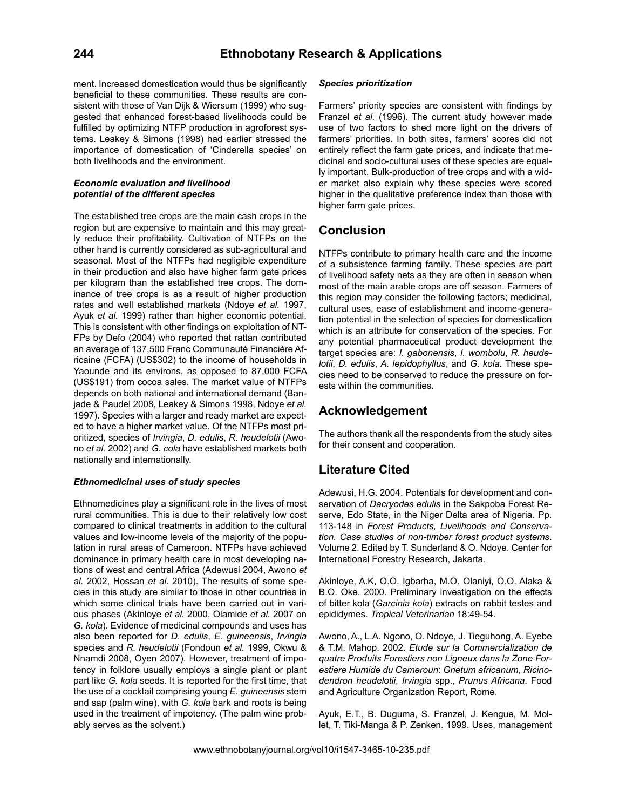ment. Increased domestication would thus be significantly beneficial to these communities. These results are consistent with those of Van Dijk & Wiersum (1999) who suggested that enhanced forest-based livelihoods could be fulfilled by optimizing NTFP production in agroforest systems. Leakey & Simons (1998) had earlier stressed the importance of domestication of 'Cinderella species' on both livelihoods and the environment.

#### *Economic evaluation and livelihood potential of the different species*

The established tree crops are the main cash crops in the region but are expensive to maintain and this may greatly reduce their profitability. Cultivation of NTFPs on the other hand is currently considered as sub-agricultural and seasonal. Most of the NTFPs had negligible expenditure in their production and also have higher farm gate prices per kilogram than the established tree crops. The dominance of tree crops is as a result of higher production rates and well established markets (Ndoye *et al.* 1997, Ayuk *et al.* 1999) rather than higher economic potential. This is consistent with other findings on exploitation of NT-FPs by Defo (2004) who reported that rattan contributed an average of 137,500 Franc Communauté Financière Africaine (FCFA) (US\$302) to the income of households in Yaounde and its environs, as opposed to 87,000 FCFA (US\$191) from cocoa sales. The market value of NTFPs depends on both national and international demand (Banjade & Paudel 2008, Leakey & Simons 1998, Ndoye *et al.* 1997). Species with a larger and ready market are expected to have a higher market value. Of the NTFPs most prioritized, species of *Irvingia*, *D. edulis*, *R. heudelotii* (Awono *et al.* 2002) and *G. cola* have established markets both nationally and internationally.

#### *Ethnomedicinal uses of study species*

Ethnomedicines play a significant role in the lives of most rural communities. This is due to their relatively low cost compared to clinical treatments in addition to the cultural values and low-income levels of the majority of the population in rural areas of Cameroon. NTFPs have achieved dominance in primary health care in most developing nations of west and central Africa (Adewusi 2004, Awono *et al.* 2002, Hossan *et al.* 2010). The results of some species in this study are similar to those in other countries in which some clinical trials have been carried out in various phases (Akinloye *et al.* 2000, Olamide *et al.* 2007 on *G. kola*). Evidence of medicinal compounds and uses has also been reported for *D. edulis*, *E. guineensis*, *Irvingia* species and *R. heudelotii* (Fondoun *et al.* 1999, Okwu & Nnamdi 2008, Oyen 2007). However, treatment of impotency in folklore usually employs a single plant or plant part like *G. kola* seeds. It is reported for the first time, that the use of a cocktail comprising young *E. guineensis* stem and sap (palm wine), with *G. kola* bark and roots is being used in the treatment of impotency. (The palm wine probably serves as the solvent.)

#### *Species prioritization*

Farmers' priority species are consistent with findings by Franzel *et al.* (1996). The current study however made use of two factors to shed more light on the drivers of farmers' priorities. In both sites, farmers' scores did not entirely reflect the farm gate prices, and indicate that medicinal and socio-cultural uses of these species are equally important. Bulk-production of tree crops and with a wider market also explain why these species were scored higher in the qualitative preference index than those with higher farm gate prices.

# **Conclusion**

NTFPs contribute to primary health care and the income of a subsistence farming family. These species are part of livelihood safety nets as they are often in season when most of the main arable crops are off season. Farmers of this region may consider the following factors; medicinal, cultural uses, ease of establishment and income-generation potential in the selection of species for domestication which is an attribute for conservation of the species. For any potential pharmaceutical product development the target species are: *I. gabonensis*, *I. wombolu*, *R. heudelotii*, *D. edulis*, *A. lepidophyllus*, and *G. kola.* These species need to be conserved to reduce the pressure on forests within the communities.

# **Acknowledgement**

The authors thank all the respondents from the study sites for their consent and cooperation.

# **Literature Cited**

Adewusi, H.G. 2004. Potentials for development and conservation of *Dacryodes edulis* in the Sakpoba Forest Reserve, Edo State, in the Niger Delta area of Nigeria. Pp. 113-148 in *Forest Products, Livelihoods and Conservation. Case studies of non-timber forest product systems*. Volume 2. Edited by T. Sunderland & O. Ndoye. Center for International Forestry Research, Jakarta.

Akinloye, A.K, O.O. Igbarha, M.O. Olaniyi, O.O. Alaka & B.O. Oke. 2000. Preliminary investigation on the effects of bitter kola (*Garcinia kola*) extracts on rabbit testes and epididymes. *Tropical Veterinarian* 18:49-54.

Awono, A., L.A. Ngono, O. Ndoye, J. Tieguhong, A. Eyebe & T.M. Mahop. 2002. *Etude sur la Commercialization de quatre Produits Forestiers non Ligneux dans la Zone Forestiere Humide du Cameroun*: *Gnetum africanum*, *Ricinodendron heudelotii*, *Irvingia* spp., *Prunus Africana*. Food and Agriculture Organization Report, Rome.

Ayuk, E.T., B. Duguma, S. Franzel, J. Kengue, M. Mollet, T. Tiki-Manga & P. Zenken. 1999. Uses, management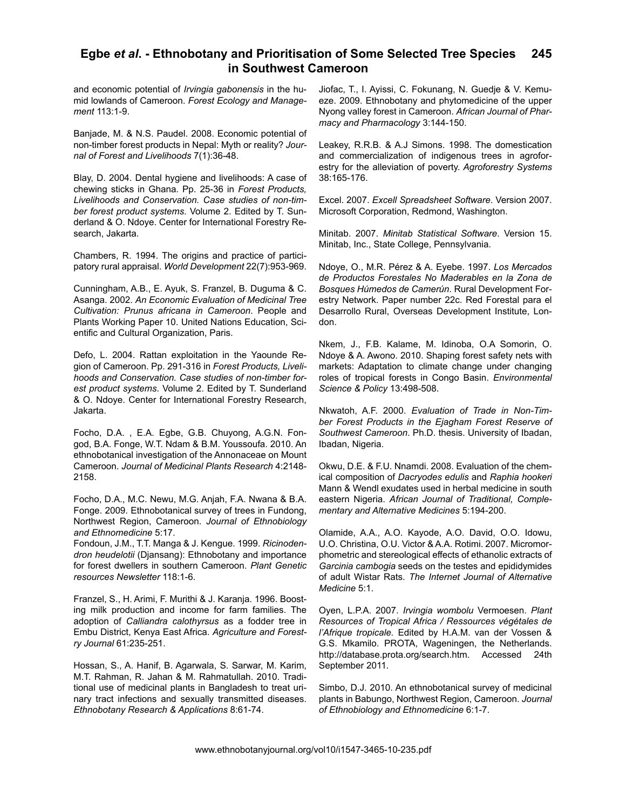#### **Egbe** *et al***. - Ethnobotany and Prioritisation of Some Selected Tree Species in Southwest Cameroon 245**

and economic potential of *Irvingia gabonensis* in the humid lowlands of Cameroon. *Forest Ecology and Management* 113:1-9.

Banjade, M. & N.S. Paudel. 2008. Economic potential of non-timber forest products in Nepal: Myth or reality? *Journal of Forest and Livelihoods* 7(1):36-48.

Blay, D. 2004. Dental hygiene and livelihoods: A case of chewing sticks in Ghana. Pp. 25-36 in *Forest Products, Livelihoods and Conservation. Case studies of non-timber forest product systems*. Volume 2. Edited by T. Sunderland & O. Ndoye. Center for International Forestry Research, Jakarta.

Chambers, R. 1994. The origins and practice of participatory rural appraisal. *World Development* 22(7):953-969.

Cunningham, A.B., E. Ayuk, S. Franzel, B. Duguma & C. Asanga. 2002. *An Economic Evaluation of Medicinal Tree Cultivation: Prunus africana in Cameroon*. People and Plants Working Paper 10. United Nations Education, Scientific and Cultural Organization, Paris.

Defo, L. 2004. Rattan exploitation in the Yaounde Region of Cameroon. Pp. 291-316 in *Forest Products, Livelihoods and Conservation. Case studies of non-timber forest product systems*. Volume 2. Edited by T. Sunderland & O. Ndoye. Center for International Forestry Research, Jakarta.

Focho, D.A. , E.A. Egbe, G.B. Chuyong, A.G.N. Fongod, B.A. Fonge, W.T. Ndam & B.M. Youssoufa. 2010. An ethnobotanical investigation of the Annonaceae on Mount Cameroon. *Journal of Medicinal Plants Research* 4:2148- 2158.

Focho, D.A., M.C. Newu, M.G. Anjah, F.A. Nwana & B.A. Fonge. 2009. Ethnobotanical survey of trees in Fundong, Northwest Region, Cameroon. *Journal of Ethnobiology and Ethnomedicine* 5:17.

Fondoun, J.M., T.T. Manga & J. Kengue. 1999. *Ricinodendron heudelotii* (Djansang): Ethnobotany and importance for forest dwellers in southern Cameroon. *Plant Genetic resources Newsletter* 118:1-6.

Franzel, S., H. Arimi, F. Murithi & J. Karanja. 1996. Boosting milk production and income for farm families. The adoption of *Calliandra calothyrsus* as a fodder tree in Embu District, Kenya East Africa. *Agriculture and Forestry Journal* 61:235-251.

Hossan, S., A. Hanif, B. Agarwala, S. Sarwar, M. Karim, M.T. Rahman, R. Jahan & M. Rahmatullah. 2010. Traditional use of medicinal plants in Bangladesh to treat urinary tract infections and sexually transmitted diseases. *Ethnobotany Research & Applications* 8:61-74.

Jiofac, T., I. Ayissi, C. Fokunang, N. Guedje & V. Kemueze. 2009. Ethnobotany and phytomedicine of the upper Nyong valley forest in Cameroon. *African Journal of Pharmacy and Pharmacology* 3:144-150.

Leakey, R.R.B. & A.J Simons. 1998. The domestication and commercialization of indigenous trees in agroforestry for the alleviation of poverty. *Agroforestry Systems* 38:165-176.

Excel. 2007. *Excell Spreadsheet Software*. Version 2007. Microsoft Corporation, Redmond, Washington.

Minitab. 2007. *Minitab Statistical Software*. Version 15. Minitab, Inc., State College, Pennsylvania.

Ndoye, O., M.R. Pérez & A. Eyebe. 1997. *Los Mercados de Productos Forestales No Maderables en la Zona de Bosques Húmedos de Camerún*. Rural Development Forestry Network. Paper number 22c. Red Forestal para el Desarrollo Rural, Overseas Development Institute, London.

Nkem, J., F.B. Kalame, M. Idinoba, O.A Somorin, O. Ndoye & A. Awono. 2010. Shaping forest safety nets with markets: Adaptation to climate change under changing roles of tropical forests in Congo Basin. *Environmental Science & Policy* 13:498-508.

Nkwatoh, A.F. 2000. *Evaluation of Trade in Non-Timber Forest Products in the Ejagham Forest Reserve of Southwest Cameroon*. Ph.D. thesis. University of Ibadan, Ibadan, Nigeria.

Okwu, D.E. & F.U. Nnamdi. 2008. Evaluation of the chemical composition of *Dacryodes edulis* and *Raphia hookeri*  Mann & Wendl exudates used in herbal medicine in south eastern Nigeria. *African Journal of Traditional, Complementary and Alternative Medicines* 5:194-200.

Olamide, A.A., A.O. Kayode, A.O. David, O.O. Idowu, U.O. Christina, O.U. Victor & A.A. Rotimi. 2007. Micromorphometric and stereological effects of ethanolic extracts of *Garcinia cambogia* seeds on the testes and epididymides of adult Wistar Rats. *The Internet Journal of Alternative Medicine* 5:1.

Oyen, L.P.A. 2007. *Irvingia wombolu* Vermoesen. *Plant Resources of Tropical Africa / Ressources végétales de l'Afrique tropicale.* Edited by H.A.M. van der Vossen & G.S. Mkamilo. PROTA, Wageningen, the Netherlands. http://database.prota.org/search.htm. Accessed 24th September 2011.

Simbo, D.J. 2010. An ethnobotanical survey of medicinal plants in Babungo, Northwest Region, Cameroon. *Journal of Ethnobiology and Ethnomedicine* 6:1-7.